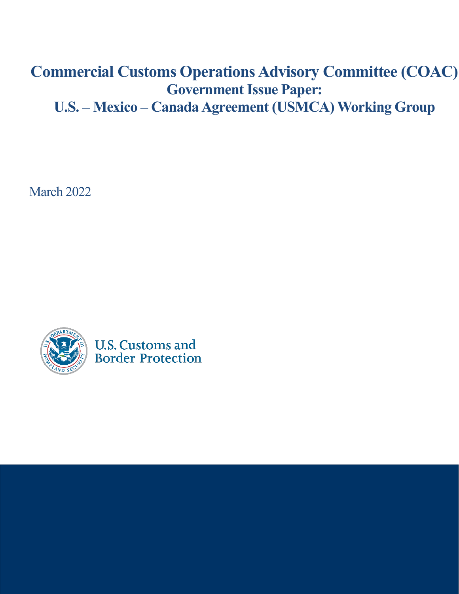# **Commercial Customs Operations Advisory Committee (COAC) Government Issue Paper:**

**U.S. – Mexico – Canada Agreement (USMCA) Working Group**

March 2022



**U.S. Customs and Border Protection**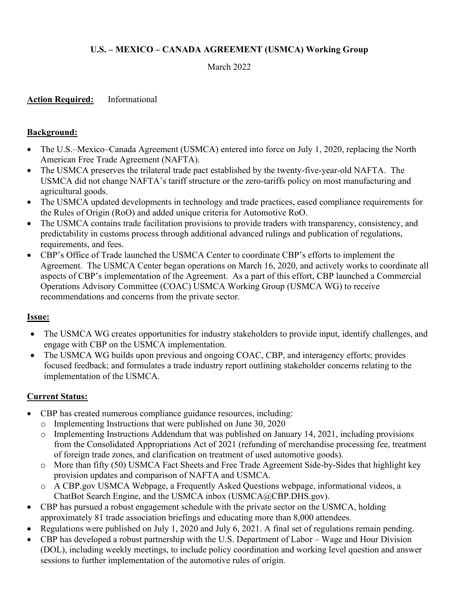## **U.S. – MEXICO – CANADA AGREEMENT (USMCA) Working Group**

March 2022

**Action Required:** Informational

#### **Background:**

- The U.S.–Mexico–Canada Agreement (USMCA) entered into force on July 1, 2020, replacing the North American Free Trade Agreement (NAFTA).
- The USMCA preserves the trilateral trade pact established by the twenty-five-year-old NAFTA. The USMCA did not change NAFTA's tariff structure or the zero-tariffs policy on most manufacturing and agricultural goods.
- The USMCA updated developments in technology and trade practices, eased compliance requirements for the Rules of Origin (RoO) and added unique criteria for Automotive RoO.
- The USMCA contains trade facilitation provisions to provide traders with transparency, consistency, and predictability in customs process through additional advanced rulings and publication of regulations, requirements, and fees.
- CBP's Office of Trade launched the USMCA Center to coordinate CBP's efforts to implement the Agreement. The USMCA Center began operations on March 16, 2020, and actively works to coordinate all aspects of CBP's implementation of the Agreement. As a part of this effort, CBP launched a Commercial Operations Advisory Committee (COAC) USMCA Working Group (USMCA WG) to receive recommendations and concerns from the private sector.

## **Issue:**

- The USMCA WG creates opportunities for industry stakeholders to provide input, identify challenges, and engage with CBP on the USMCA implementation.
- The USMCA WG builds upon previous and ongoing COAC, CBP, and interagency efforts; provides focused feedback; and formulates a trade industry report outlining stakeholder concerns relating to the implementation of the USMCA.

## **Current Status:**

- CBP has created numerous compliance guidance resources, including:
	- o Implementing Instructions that were published on June 30, 2020
	- o Implementing Instructions Addendum that was published on January 14, 2021, including provisions from the Consolidated Appropriations Act of 2021 (refunding of merchandise processing fee, treatment of foreign trade zones, and clarification on treatment of used automotive goods).
	- o More than fifty (50) USMCA Fact Sheets and Free Trade Agreement Side-by-Sides that highlight key provision updates and comparison of NAFTA and USMCA.
	- o A CBP.gov USMCA Webpage, a Frequently Asked Questions webpage, informational videos, a ChatBot Search Engine, and the USMCA inbox (USMCA@CBP.DHS.gov).
- CBP has pursued a robust engagement schedule with the private sector on the USMCA, holding approximately 81 trade association briefings and educating more than 8,000 attendees.
- Regulations were published on July 1, 2020 and July 6, 2021. A final set of regulations remain pending.
- CBP has developed a robust partnership with the U.S. Department of Labor Wage and Hour Division (DOL), including weekly meetings, to include policy coordination and working level question and answer sessions to further implementation of the automotive rules of origin.